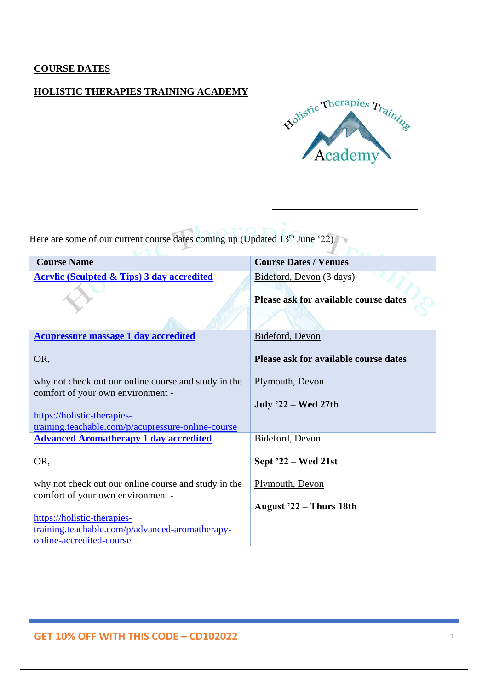#### **COURSE DATES**

#### **HOLISTIC THERAPIES TRAINING ACADEMY**



V

Here are some of our current course dates coming up (Updated 13<sup>th</sup> June '22)

| <b>Course Name</b>                                                                        | <b>Course Dates / Venues</b>                                      |
|-------------------------------------------------------------------------------------------|-------------------------------------------------------------------|
| <b>Acrylic (Sculpted &amp; Tips) 3 day accredited</b>                                     | Bideford, Devon (3 days)<br>Please ask for available course dates |
| <b>Acupressure massage 1 day accredited</b>                                               | Bideford, Devon                                                   |
| OR,                                                                                       | Please ask for available course dates                             |
| why not check out our online course and study in the<br>comfort of your own environment - | Plymouth, Devon<br>July '22 – Wed 27th                            |
| https://holistic-therapies-                                                               |                                                                   |
| training.teachable.com/p/acupressure-online-course                                        |                                                                   |
| <b>Advanced Aromatherapy 1 day accredited</b>                                             | Bideford, Devon                                                   |
| OR,                                                                                       | Sept $22 - Wed$ 21st                                              |
| why not check out our online course and study in the<br>comfort of your own environment - | Plymouth, Devon                                                   |
|                                                                                           | August '22 - Thurs 18th                                           |
| https://holistic-therapies-                                                               |                                                                   |
| training.teachable.com/p/advanced-aromatherapy-                                           |                                                                   |
| online-accredited-course                                                                  |                                                                   |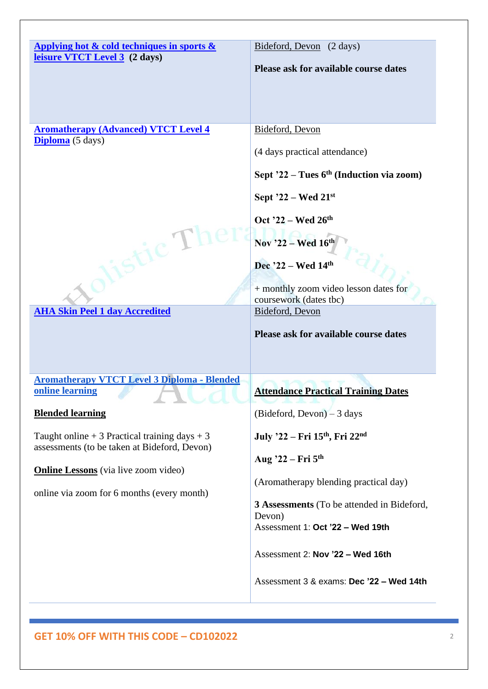| Applying hot & cold techniques in sports &<br>Bideford, Devon (2 days)                    |  |
|-------------------------------------------------------------------------------------------|--|
| leisure VTCT Level 3 (2 days)<br>Please ask for available course dates                    |  |
|                                                                                           |  |
|                                                                                           |  |
|                                                                                           |  |
|                                                                                           |  |
| <b>Aromatherapy (Advanced) VTCT Level 4</b><br>Bideford, Devon<br><b>Diploma</b> (5 days) |  |
| (4 days practical attendance)                                                             |  |
|                                                                                           |  |
| Sept $22$ – Tues 6 <sup>th</sup> (Induction via zoom)                                     |  |
| Sept $22$ – Wed $21^{st}$                                                                 |  |
| Oct '22 – Wed $26th$                                                                      |  |
| Nov '22 - Wed 16th<br>ticT                                                                |  |
|                                                                                           |  |
| Dec $22 - Wed 14th$                                                                       |  |
| + monthly zoom video lesson dates for                                                     |  |
| coursework (dates tbc)                                                                    |  |
| <b>AHA Skin Peel 1 day Accredited</b><br><b>Bideford</b> , Devon                          |  |
| Please ask for available course dates                                                     |  |
|                                                                                           |  |
|                                                                                           |  |
| <b>Aromatherapy VTCT Level 3 Diploma - Blended</b>                                        |  |
| online learning<br><b>Attendance Practical Training Dates</b>                             |  |
|                                                                                           |  |
| $(Bideford, Devon) - 3 days$<br><b>Blended learning</b>                                   |  |
| Taught online $+3$ Practical training days $+3$<br>July '22 - Fri 15th, Fri 22nd          |  |
| assessments (to be taken at Bideford, Devon)<br>Aug '22 – Fri 5th                         |  |
| <b>Online Lessons</b> (via live zoom video)                                               |  |
| (Aromatherapy blending practical day)                                                     |  |
| online via zoom for 6 months (every month)<br>3 Assessments (To be attended in Bideford,  |  |
|                                                                                           |  |
| Devon)                                                                                    |  |
| Assessment 1: Oct '22 - Wed 19th                                                          |  |
|                                                                                           |  |
| Assessment 2: Nov '22 - Wed 16th                                                          |  |
| Assessment 3 & exams: Dec '22 - Wed 14th                                                  |  |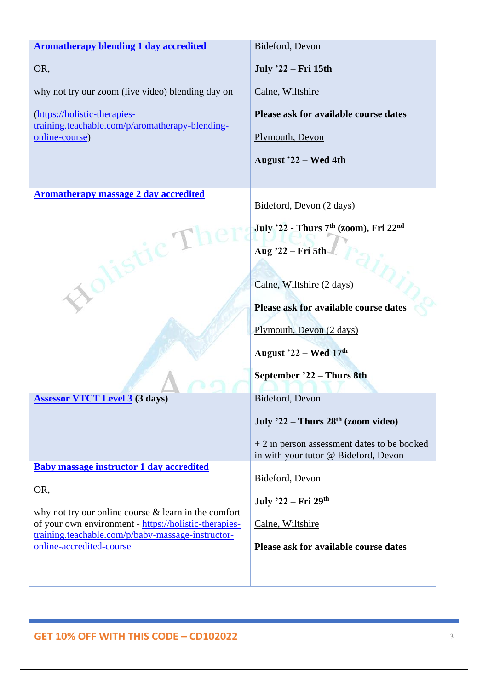| <b>Aromatherapy blending 1 day accredited</b>                                                                   | Bideford, Devon                                                                      |
|-----------------------------------------------------------------------------------------------------------------|--------------------------------------------------------------------------------------|
| OR,                                                                                                             | July '22 – Fri 15th                                                                  |
| why not try our zoom (live video) blending day on                                                               | Calne, Wiltshire                                                                     |
| (https://holistic-therapies-<br>training.teachable.com/p/aromatherapy-blending-                                 | Please ask for available course dates                                                |
| online-course)                                                                                                  | Plymouth, Devon                                                                      |
|                                                                                                                 | August '22 – Wed 4th                                                                 |
|                                                                                                                 |                                                                                      |
| <b>Aromatherapy massage 2 day accredited</b>                                                                    | Bideford, Devon (2 days)                                                             |
|                                                                                                                 | July '22 - Thurs 7 <sup>th</sup> (zoom), Fri 22 <sup>nd</sup>                        |
| istic T                                                                                                         | Aug '22 - Fri 5th                                                                    |
|                                                                                                                 |                                                                                      |
| CON                                                                                                             | Calne, Wiltshire (2 days)                                                            |
|                                                                                                                 | Please ask for available course dates                                                |
|                                                                                                                 | Plymouth, Devon (2 days)                                                             |
|                                                                                                                 | August $22 - Wed 17th$                                                               |
|                                                                                                                 | September '22 - Thurs 8th                                                            |
| <b>Assessor VTCT Level 3 (3 days)</b>                                                                           | Bideford, Devon                                                                      |
|                                                                                                                 | July '22 – Thurs $28th$ (zoom video)                                                 |
|                                                                                                                 | $+2$ in person assessment dates to be booked<br>in with your tutor @ Bideford, Devon |
| <b>Baby massage instructor 1 day accredited</b>                                                                 |                                                                                      |
|                                                                                                                 | Bideford, Devon                                                                      |
| OR,                                                                                                             | July '22 – Fri 29th                                                                  |
| why not try our online course $&$ learn in the comfort<br>of your own environment - https://holistic-therapies- | Calne, Wiltshire                                                                     |
| training.teachable.com/p/baby-massage-instructor-<br>online-accredited-course                                   | Please ask for available course dates                                                |
|                                                                                                                 |                                                                                      |
|                                                                                                                 |                                                                                      |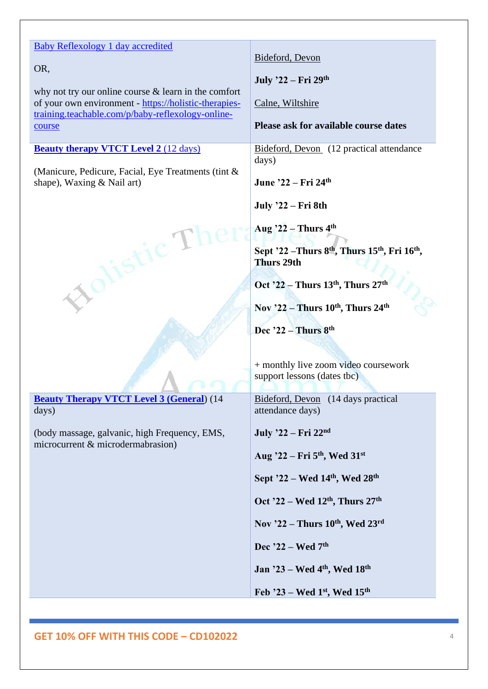#### [Baby Reflexology 1 day accredited](https://holistic-therapies-training.teachable.com/p/baby-reflexology-accredited-course)

#### OR,

why not try our online course & learn in the comfort of your own environment - [https://holistic-therapies](https://holistic-therapies-training.teachable.com/p/baby-reflexology-online-course)[training.teachable.com/p/baby-reflexology-online](https://holistic-therapies-training.teachable.com/p/baby-reflexology-online-course)[course](https://holistic-therapies-training.teachable.com/p/baby-reflexology-online-course)

#### **[Beauty therapy VTCT Level 2](https://holistic-therapies-training.teachable.com/p/beauty-therapy-vtct-l2-course)** (12 [days\)](https://holistic-therapies-training.teachable.com/p/beauty-therapy-vtct-l2-course)

(Manicure, Pedicure, Facial, Eye Treatments (tint & shape), Waxing & Nail art)

Xolistic T

**[Beauty Therapy VTCT Level 3 \(General](https://holistic-therapies-training.teachable.com/p/beauty-therapy-vtct-l3-diploma-course)**) (14 days)

(body massage, galvanic, high Frequency, EMS, microcurrent & microdermabrasion)

#### [Bideford, Devon](https://www.holistictherapiestraining.co.uk/bideford/)

**July '22 – Fri 29th**

[Calne, Wiltshire](https://www.holistictherapiestraining.co.uk/calne/)

#### **Please ask for available course dates**

[Bideford, Devon](https://www.holistictherapiestraining.co.uk/bideford/) (12 practical attendance days)

**June '22 – Fri 24th**

**July '22 – Fri 8th**

**Aug '22 – Thurs 4 th**

**Sept '22 –Thurs 8th, Thurs 15th , Fri 16th , Thurs 29th**

**Oct '22 – Thurs 13th, Thurs 27th**

**Nov '22 – Thurs 10th, Thurs 24th**

**Dec '22 – Thurs 8th**

+ monthly live zoom video coursework support lessons (dates tbc)

[Bideford, Devon](https://www.holistictherapiestraining.co.uk/bideford/) (14 days practical attendance days)

**July '22 – Fri 22nd**

**Aug '22 – Fri 5th, Wed 31st**

**Sept '22 – Wed 14th, Wed 28th**

**Oct '22 – Wed 12th, Thurs 27th**

**Nov '22 – Thurs 10th, Wed 23rd**

**Dec '22 – Wed 7th**

**Jan '23 – Wed 4th, Wed 18th**

**Feb '23 – Wed 1st, Wed 15th**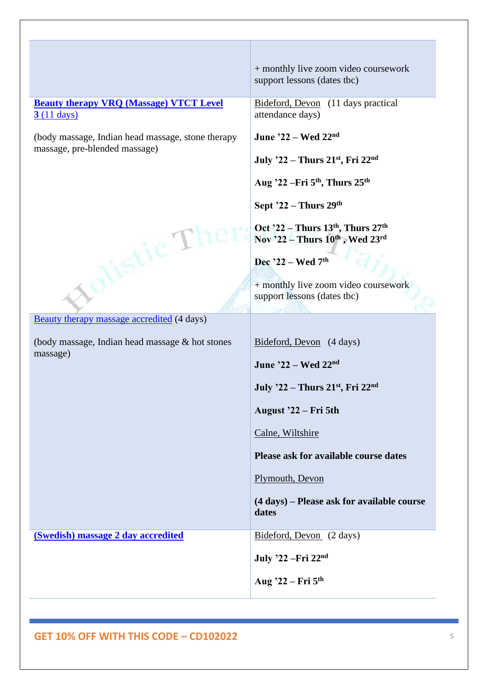#### **Beauty therapy [VRQ \(Massage\) VTCT Level](https://holistic-therapies-training.teachable.com/p/beauty-therapy-massage-vtct-l3-course)  [3](https://holistic-therapies-training.teachable.com/p/beauty-therapy-massage-vtct-l3-course)** [\(11 days\)](https://holistic-therapies-training.teachable.com/p/beauty-therapy-massage-vtct-l3-course)

(body massage, Indian head massage, stone therapy massage, pre-blended massage)

olistic The

[Beauty therapy massage accredited](https://holistic-therapies-training.teachable.com/p/beauty-therapy-massage-accredited-course) (4 days)

(body massage, Indian head massage & hot stones massage)

+ monthly live zoom video coursework support lessons (dates tbc)

[Bideford, Devon](https://www.holistictherapiestraining.co.uk/bideford/) (11 days practical attendance days)

**June '22 – Wed 22nd**

**July '22 – Thurs 21st , Fri 22nd**

**Aug '22 –Fri 5th, Thurs 25th**

**Sept '22 – Thurs 29th**

**Oct '22 – Thurs 13th , Thurs 27th Nov '22 – Thurs 10th , Wed 23rd**

**Dec '22 – Wed 7th**

+ monthly live zoom video coursework support lessons (dates tbc)

[Bideford, Devon](https://www.holistictherapiestraining.co.uk/bideford/) (4 days)

**June '22 – Wed 22nd**

**July '22 – Thurs 21st , Fri 22nd**

**August '22 – Fri 5th**

[Calne, Wiltshire](https://www.holistictherapiestraining.co.uk/calne/)

**Please ask for available course dates**

[Plymouth, Devon](https://www.holistictherapiestraining.co.uk/plymouth-devon/)

**(4 days) – Please ask for available course dates**

**[\(Swedish\) massage 2 day accredited](https://holistic-therapies-training.teachable.com/p/massage-accredited-course)** [Bideford, Devon](https://www.holistictherapiestraining.co.uk/bideford/) (2 days)

**July '22 –Fri 22nd**

**Aug '22 – Fri 5th**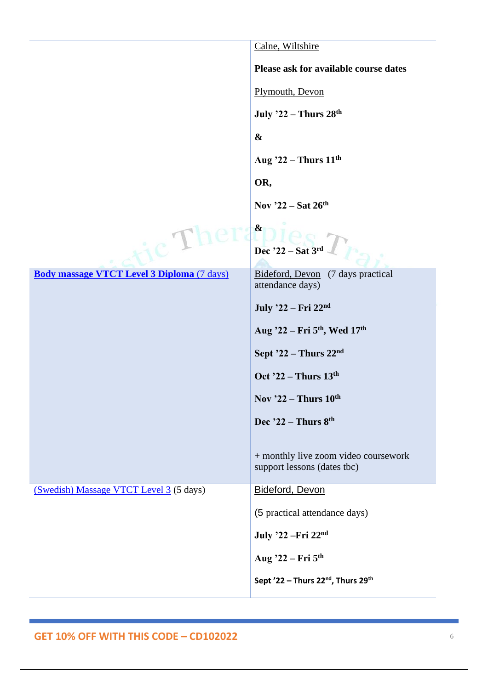|                                                   | Calne, Wiltshire                                                    |
|---------------------------------------------------|---------------------------------------------------------------------|
|                                                   | Please ask for available course dates                               |
|                                                   | Plymouth, Devon                                                     |
|                                                   | <b>July '22 - Thurs 28th</b>                                        |
|                                                   | $\boldsymbol{\&}$                                                   |
|                                                   | Aug $22$ – Thurs $11th$                                             |
|                                                   | OR,                                                                 |
|                                                   | Nov $22$ – Sat 26 <sup>th</sup>                                     |
|                                                   | $\boldsymbol{\alpha}$                                               |
| $ic^{\prime}1$                                    | Dec '22 - Sat 3rd                                                   |
| <b>Body massage VTCT Level 3 Diploma (7 days)</b> | Bideford, Devon (7 days practical                                   |
|                                                   | attendance days)                                                    |
|                                                   | July '22 – Fri 22nd                                                 |
|                                                   | Aug '22 – Fri 5 <sup>th</sup> , Wed 17 <sup>th</sup>                |
|                                                   | Sept $22$ – Thurs $22nd$                                            |
|                                                   | Oct $22$ – Thurs $13th$                                             |
|                                                   | Nov '22 - Thurs 10th                                                |
|                                                   | Dec $22$ – Thurs $8th$                                              |
|                                                   |                                                                     |
|                                                   | + monthly live zoom video coursework<br>support lessons (dates tbc) |
| (Swedish) Massage VTCT Level 3 (5 days)           | Bideford, Devon                                                     |
|                                                   |                                                                     |
|                                                   | (5 practical attendance days)                                       |
|                                                   | July '22 - Fri 22nd                                                 |
|                                                   | Aug '22 - Fri 5th                                                   |
|                                                   | Sept '22 - Thurs 22 <sup>nd</sup> , Thurs 29 <sup>th</sup>          |
|                                                   |                                                                     |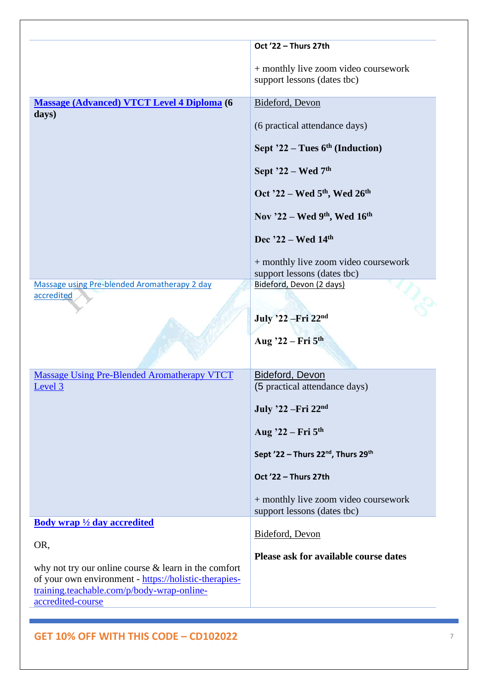|                                                                                                                                                               | Oct '22 - Thurs 27th                                                |
|---------------------------------------------------------------------------------------------------------------------------------------------------------------|---------------------------------------------------------------------|
|                                                                                                                                                               | + monthly live zoom video coursework<br>support lessons (dates tbc) |
| <b>Massage (Advanced) VTCT Level 4 Diploma (6</b>                                                                                                             | Bideford, Devon                                                     |
| days)                                                                                                                                                         | (6 practical attendance days)                                       |
|                                                                                                                                                               | Sept $22$ – Tues 6 <sup>th</sup> (Induction)                        |
|                                                                                                                                                               | Sept '22 - Wed 7th                                                  |
|                                                                                                                                                               | Oct '22 - Wed 5 <sup>th</sup> , Wed 26 <sup>th</sup>                |
|                                                                                                                                                               | Nov '22 - Wed 9th, Wed 16th                                         |
|                                                                                                                                                               | Dec '22 - Wed 14th                                                  |
|                                                                                                                                                               | + monthly live zoom video coursework<br>support lessons (dates tbc) |
| Massage using Pre-blended Aromatherapy 2 day<br>accredited                                                                                                    | Bideford, Devon (2 days)                                            |
|                                                                                                                                                               |                                                                     |
|                                                                                                                                                               | July '22 - Fri 22nd                                                 |
|                                                                                                                                                               | Aug '22 – Fri 5 <sup>th</sup>                                       |
| <b>Massage Using Pre-Blended Aromatherapy VTCT</b>                                                                                                            | <b>Bideford, Devon</b>                                              |
| Level 3                                                                                                                                                       | (5 practical attendance days)                                       |
|                                                                                                                                                               | July '22 - Fri 22nd                                                 |
|                                                                                                                                                               | Aug $22$ – Fri $5th$                                                |
|                                                                                                                                                               | Sept '22 - Thurs 22 <sup>nd</sup> , Thurs 29 <sup>th</sup>          |
|                                                                                                                                                               | Oct '22 - Thurs 27th                                                |
|                                                                                                                                                               | + monthly live zoom video coursework<br>support lessons (dates tbc) |
| <b>Body wrap</b> $\frac{1}{2}$ day accredited                                                                                                                 |                                                                     |
| OR,                                                                                                                                                           | Bideford, Devon                                                     |
| why not try our online course $&$ learn in the comfort<br>of your own environment - https://holistic-therapies-<br>training.teachable.com/p/body-wrap-online- | Please ask for available course dates                               |
| accredited-course                                                                                                                                             |                                                                     |
|                                                                                                                                                               |                                                                     |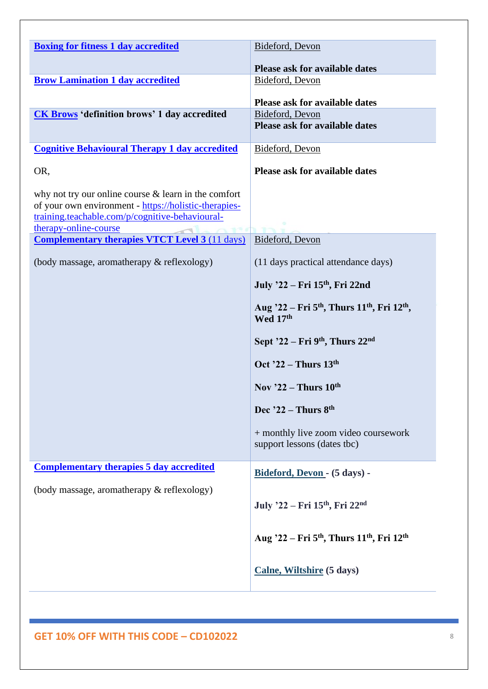| <b>Boxing for fitness 1 day accredited</b>                               | Bideford, Devon                                                                             |
|--------------------------------------------------------------------------|---------------------------------------------------------------------------------------------|
|                                                                          |                                                                                             |
|                                                                          | Please ask for available dates                                                              |
| <b>Brow Lamination 1 day accredited</b>                                  | Bideford, Devon                                                                             |
|                                                                          | Please ask for available dates                                                              |
| <b>CK Brows</b> 'definition brows' 1 day accredited                      | Bideford, Devon                                                                             |
|                                                                          | <b>Please ask for available dates</b>                                                       |
| <b>Cognitive Behavioural Therapy 1 day accredited</b>                    | Bideford, Devon                                                                             |
| OR,                                                                      | <b>Please ask for available dates</b>                                                       |
| why not try our online course $\&$ learn in the comfort                  |                                                                                             |
| of your own environment - https://holistic-therapies-                    |                                                                                             |
| training.teachable.com/p/cognitive-behavioural-<br>therapy-online-course |                                                                                             |
| <b>Complementary therapies VTCT Level 3 (11 days)</b>                    | Bideford, Devon                                                                             |
|                                                                          |                                                                                             |
| (body massage, aromatherapy & reflexology)                               | (11 days practical attendance days)                                                         |
|                                                                          | July '22 – Fri 15th, Fri 22nd                                                               |
|                                                                          | Aug '22 - Fri 5 <sup>th</sup> , Thurs 11 <sup>th</sup> , Fri 12 <sup>th</sup> ,<br>Wed 17th |
|                                                                          | Sept $22$ – Fri 9 <sup>th</sup> , Thurs $22nd$                                              |
|                                                                          | Oct $22$ – Thurs 13 <sup>th</sup>                                                           |
|                                                                          | Nov $22$ – Thurs $10^{th}$                                                                  |
|                                                                          | Dec $22$ – Thurs $8th$                                                                      |
|                                                                          | + monthly live zoom video coursework                                                        |
|                                                                          | support lessons (dates tbc)                                                                 |
| <b>Complementary therapies 5 day accredited</b>                          | Bideford, Devon - (5 days) -                                                                |
| (body massage, aromatherapy & reflexology)                               |                                                                                             |
|                                                                          | July '22 – Fri 15th, Fri 22nd                                                               |
|                                                                          | Aug '22 – Fri 5 <sup>th</sup> , Thurs 11 <sup>th</sup> , Fri 12 <sup>th</sup>               |
|                                                                          |                                                                                             |
|                                                                          | Calne, Wiltshire (5 days)                                                                   |
|                                                                          |                                                                                             |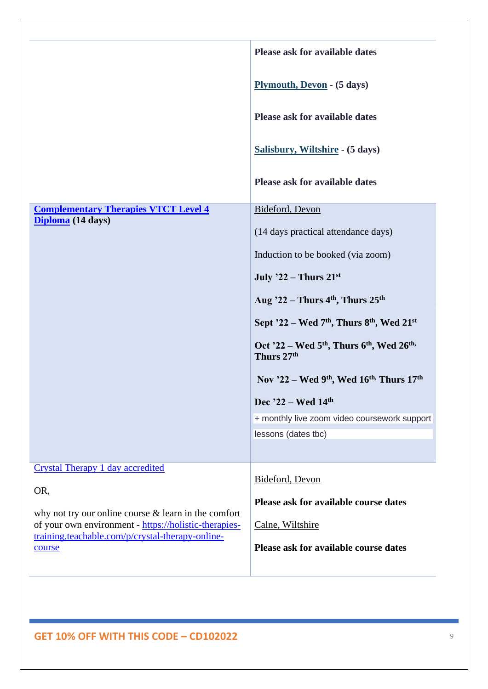|                                                                                                           | <b>Please ask for available dates</b>                                         |
|-----------------------------------------------------------------------------------------------------------|-------------------------------------------------------------------------------|
|                                                                                                           | Plymouth, Devon - (5 days)                                                    |
|                                                                                                           | <b>Please ask for available dates</b>                                         |
|                                                                                                           | Salisbury, Wiltshire - (5 days)                                               |
|                                                                                                           | <b>Please ask for available dates</b>                                         |
| <b>Complementary Therapies VTCT Level 4</b>                                                               | Bideford, Devon                                                               |
| Diploma (14 days)                                                                                         | (14 days practical attendance days)                                           |
|                                                                                                           | Induction to be booked (via zoom)                                             |
|                                                                                                           | July $22$ – Thurs $21^{st}$                                                   |
|                                                                                                           | Aug $22$ – Thurs 4 <sup>th</sup> , Thurs 25 <sup>th</sup>                     |
|                                                                                                           | Sept '22 - Wed 7 <sup>th</sup> , Thurs 8 <sup>th</sup> , Wed 21 <sup>st</sup> |
|                                                                                                           | Oct '22 – Wed $5th$ , Thurs $6th$ , Wed $26th$ ,<br>Thurs 27th                |
|                                                                                                           | Nov '22 – Wed 9 <sup>th</sup> , Wed 16 <sup>th,</sup> Thurs 17 <sup>th</sup>  |
|                                                                                                           | Dec '22 - Wed 14th                                                            |
|                                                                                                           | + monthly live zoom video coursework support                                  |
|                                                                                                           | lessons (dates tbc)                                                           |
|                                                                                                           |                                                                               |
| Crystal Therapy 1 day accredited                                                                          | Bideford, Devon                                                               |
| OR,                                                                                                       |                                                                               |
| why not try our online course $&$ learn in the comfort                                                    | Please ask for available course dates                                         |
| of your own environment - https://holistic-therapies-<br>training.teachable.com/p/crystal-therapy-online- | Calne, Wiltshire                                                              |
| course                                                                                                    | Please ask for available course dates                                         |
|                                                                                                           |                                                                               |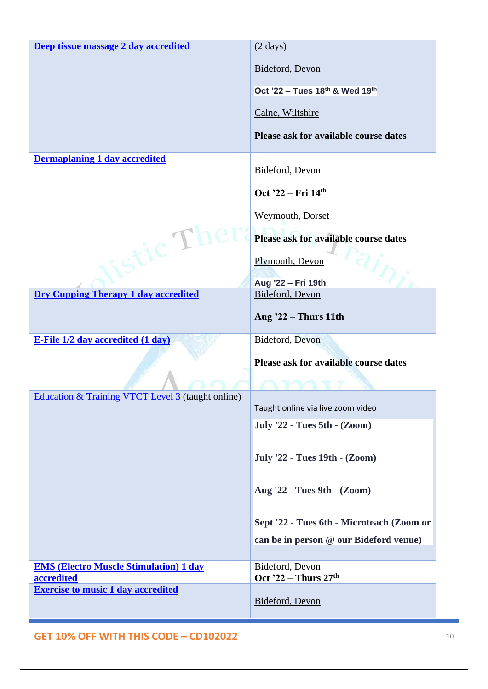| Deep tissue massage 2 day accredited                    | $(2 \text{ days})$                        |
|---------------------------------------------------------|-------------------------------------------|
|                                                         | Bideford, Devon                           |
|                                                         | Oct '22 - Tues 18th & Wed 19th            |
|                                                         | Calne, Wiltshire                          |
|                                                         | Please ask for available course dates     |
| <b>Dermaplaning 1 day accredited</b>                    | Bideford, Devon                           |
|                                                         | Oct '22 – Fri 14th                        |
|                                                         | <b>Weymouth, Dorset</b>                   |
|                                                         | Please ask for available course dates     |
| $\mathrm{ri}\mathrm{c}^{-1}$                            | Plymouth, Devon                           |
|                                                         | Aug '22 - Fri 19th                        |
| <b>Dry Cupping Therapy 1 day accredited</b>             | <b>Bideford</b> , Devon                   |
|                                                         | <b>Aug '22 - Thurs 11th</b>               |
| <b>E-File 1/2 day accredited (1 day)</b>                | Bideford, Devon                           |
|                                                         | Please ask for available course dates     |
|                                                         |                                           |
| Education & Training VTCT Level 3 (taught online)       | Taught online via live zoom video         |
|                                                         | <b>July '22 - Tues 5th - (Zoom)</b>       |
|                                                         | July '22 - Tues 19th - (Zoom)             |
|                                                         |                                           |
|                                                         | Aug '22 - Tues 9th - (Zoom)               |
|                                                         | Sept '22 - Tues 6th - Microteach (Zoom or |
|                                                         | can be in person @ our Bideford venue)    |
|                                                         |                                           |
| <b>EMS (Electro Muscle Stimulation) 1 day</b>           | Bideford, Devon                           |
| accredited<br><b>Exercise to music 1 day accredited</b> | Oct '22 – Thurs 27th                      |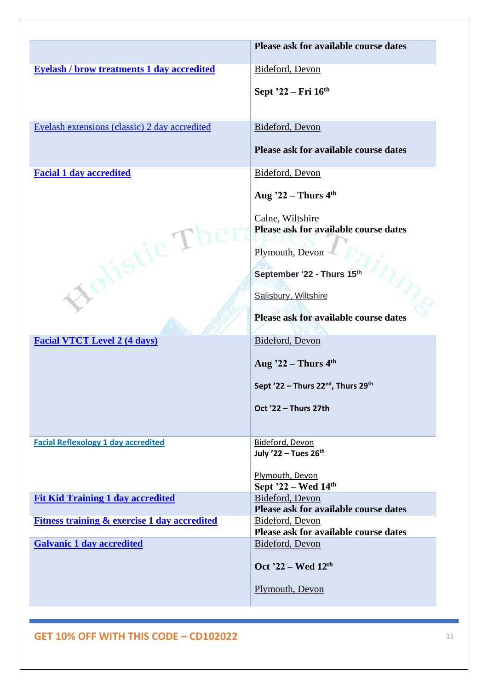|                                                                                   | Please ask for available course dates                                                                                                                                                                                                                                                                                                                                 |
|-----------------------------------------------------------------------------------|-----------------------------------------------------------------------------------------------------------------------------------------------------------------------------------------------------------------------------------------------------------------------------------------------------------------------------------------------------------------------|
| <b>Eyelash / brow treatments 1 day accredited</b>                                 | Bideford, Devon<br>Sept '22 - Fri 16th                                                                                                                                                                                                                                                                                                                                |
| Eyelash extensions (classic) 2 day accredited                                     | Bideford, Devon<br>Please ask for available course dates                                                                                                                                                                                                                                                                                                              |
| <b>Facial 1 day accredited</b><br>istic TI<br><b>Facial VTCT Level 2 (4 days)</b> | Bideford, Devon<br>Aug $22$ – Thurs 4 <sup>th</sup><br>Calne, Wiltshire<br>Please ask for available course dates<br>Plymouth, Devon<br>September '22 - Thurs 15th<br>Salisbury, Wiltshire<br>Please ask for available course dates<br>Bideford, Devon<br>Aug $22$ – Thurs $4th$<br>Sept '22 - Thurs 22 <sup>nd</sup> , Thurs 29 <sup>th</sup><br>Oct '22 - Thurs 27th |
| <b>Facial Reflexology 1 day accredited</b>                                        | Bideford, Devon<br>July '22 - Tues 26th<br>Plymouth, Devon<br>Sept $22 - Wed 14th$                                                                                                                                                                                                                                                                                    |
| <b>Fit Kid Training 1 day accredited</b>                                          | Bideford, Devon<br>Please ask for available course dates                                                                                                                                                                                                                                                                                                              |
| <b>Fitness training &amp; exercise 1 day accredited</b>                           | Bideford, Devon<br>Please ask for available course dates                                                                                                                                                                                                                                                                                                              |
| <b>Galvanic 1 day accredited</b>                                                  | Bideford, Devon<br>Oct '22 – Wed $12th$<br>Plymouth, Devon                                                                                                                                                                                                                                                                                                            |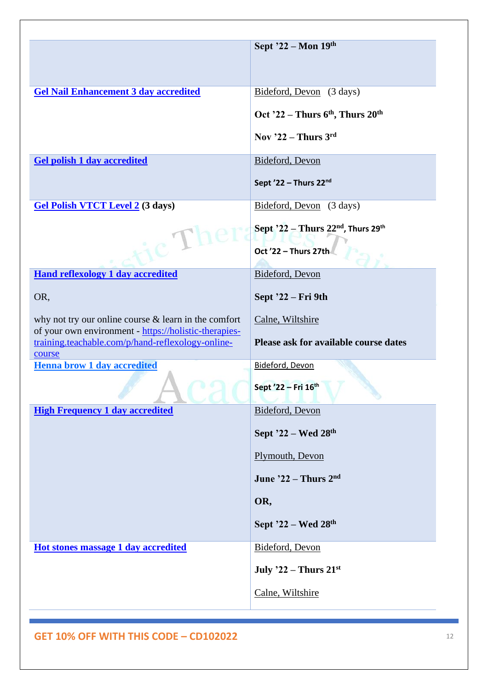|                                                                                                            | Sept $22 - \text{Mon } 19^{\text{th}}$  |
|------------------------------------------------------------------------------------------------------------|-----------------------------------------|
|                                                                                                            |                                         |
| <b>Gel Nail Enhancement 3 day accredited</b>                                                               | Bideford, Devon (3 days)                |
|                                                                                                            | Oct '22 – Thurs $6th$ , Thurs $20th$    |
|                                                                                                            |                                         |
|                                                                                                            | Nov $22$ – Thurs $3rd$                  |
| <b>Gel polish 1 day accredited</b>                                                                         | Bideford, Devon                         |
|                                                                                                            | Sept '22 - Thurs 22nd                   |
| <b>Gel Polish VTCT Level 2 (3 days)</b>                                                                    | Bideford, Devon (3 days)                |
|                                                                                                            | Sept $22$ – Thurs $22nd$ , Thurs $29th$ |
| $c^2$                                                                                                      | Oct '22 - Thurs 27th                    |
| <b>Hand reflexology 1 day accredited</b>                                                                   | Bideford, Devon                         |
| OR,                                                                                                        | Sept '22 – Fri 9th                      |
| why not try our online course $&$ learn in the comfort                                                     | Calne, Wiltshire                        |
| of your own environment - https://holistic-therapies-<br>training.teachable.com/p/hand-reflexology-online- | Please ask for available course dates   |
| course                                                                                                     |                                         |
| <b>Henna brow 1 day accredited</b>                                                                         | Bideford, Devon                         |
|                                                                                                            | Sept '22 - Fri 16th                     |
| <b>High Frequency 1 day accredited</b>                                                                     | Bideford, Devon                         |
|                                                                                                            | Sept $22$ – Wed $28th$                  |
|                                                                                                            | Plymouth, Devon                         |
|                                                                                                            | June $22 -$ Thurs $2nd$                 |
|                                                                                                            | OR,                                     |
|                                                                                                            | Sept $22$ – Wed $28th$                  |
| Hot stones massage 1 day accredited                                                                        | Bideford, Devon                         |
|                                                                                                            | July $22$ – Thurs $21^{st}$             |
|                                                                                                            | Calne, Wiltshire                        |
|                                                                                                            |                                         |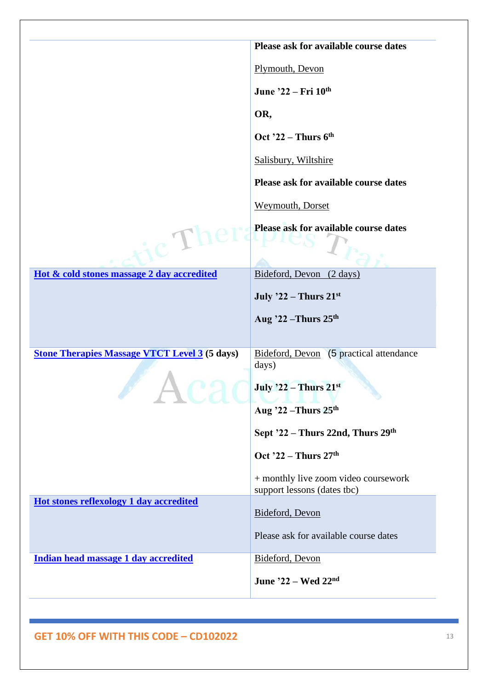|                                                      | Please ask for available course dates                               |
|------------------------------------------------------|---------------------------------------------------------------------|
|                                                      | Plymouth, Devon                                                     |
|                                                      | June '22 – Fri 10th                                                 |
|                                                      | OR,                                                                 |
|                                                      | Oct '22 – Thurs $6th$                                               |
|                                                      | Salisbury, Wiltshire                                                |
|                                                      | Please ask for available course dates                               |
|                                                      | Weymouth, Dorset                                                    |
|                                                      | Please ask for available course dates                               |
| $c^{\prime}$ Th                                      |                                                                     |
|                                                      |                                                                     |
| Hot & cold stones massage 2 day accredited           | Bideford, Devon (2 days)                                            |
|                                                      | July $22$ – Thurs $21^{st}$                                         |
|                                                      | Aug $22$ –Thurs $25th$                                              |
|                                                      |                                                                     |
| <b>Stone Therapies Massage VTCT Level 3 (5 days)</b> | Bideford, Devon (5 practical attendance<br>days)                    |
|                                                      |                                                                     |
|                                                      | July $22$ – Thurs $21^{st}$                                         |
|                                                      | Aug '22 – Thurs $25th$                                              |
|                                                      | Sept '22 - Thurs 22nd, Thurs 29th                                   |
|                                                      | Oct '22 – Thurs $27th$                                              |
|                                                      | + monthly live zoom video coursework<br>support lessons (dates tbc) |
| Hot stones reflexology 1 day accredited              | Bideford, Devon                                                     |
|                                                      | Please ask for available course dates                               |
| Indian head massage 1 day accredited                 | Bideford, Devon                                                     |
|                                                      |                                                                     |
|                                                      | June '22 - Wed 22nd                                                 |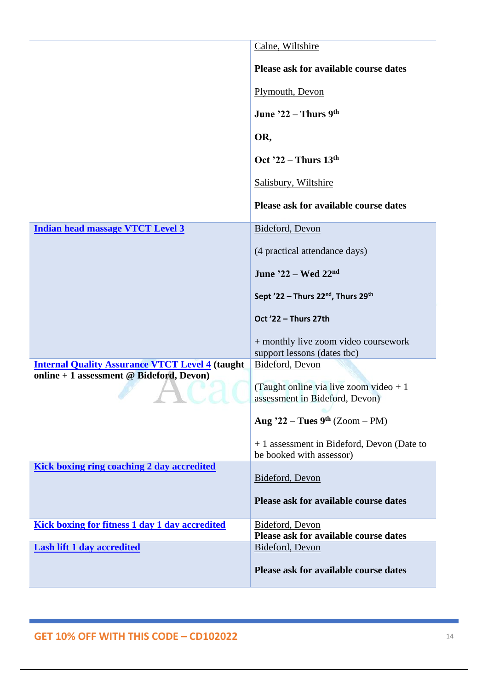|                                                         | Calne, Wiltshire                                                    |
|---------------------------------------------------------|---------------------------------------------------------------------|
|                                                         | Please ask for available course dates                               |
|                                                         | Plymouth, Devon                                                     |
|                                                         | June $22 -$ Thurs 9th                                               |
|                                                         | OR,                                                                 |
|                                                         | Oct $22$ – Thurs $13th$                                             |
|                                                         | Salisbury, Wiltshire                                                |
|                                                         | Please ask for available course dates                               |
| <b>Indian head massage VTCT Level 3</b>                 | Bideford, Devon                                                     |
|                                                         | (4 practical attendance days)                                       |
|                                                         | June $22 - Wed$ $22nd$                                              |
|                                                         | Sept '22 - Thurs 22 <sup>nd</sup> , Thurs 29 <sup>th</sup>          |
|                                                         | Oct '22 - Thurs 27th                                                |
|                                                         | + monthly live zoom video coursework<br>support lessons (dates tbc) |
| <b>Internal Quality Assurance VTCT Level 4 (taught)</b> | Bideford, Devon                                                     |
|                                                         |                                                                     |
| online + 1 assessment @ Bideford, Devon)                | (Taught online via live zoom video $+1$                             |
|                                                         | assessment in Bideford, Devon)<br>Aug '22 – Tues $9th$ (Zoom – PM)  |
|                                                         | + 1 assessment in Bideford, Devon (Date to                          |
| Kick boxing ring coaching 2 day accredited              | be booked with assessor)                                            |
|                                                         | Bideford, Devon                                                     |
|                                                         | Please ask for available course dates                               |
| <b>Kick boxing for fitness 1 day 1 day accredited</b>   | Bideford, Devon                                                     |
| <b>Lash lift 1 day accredited</b>                       | Please ask for available course dates<br>Bideford, Devon            |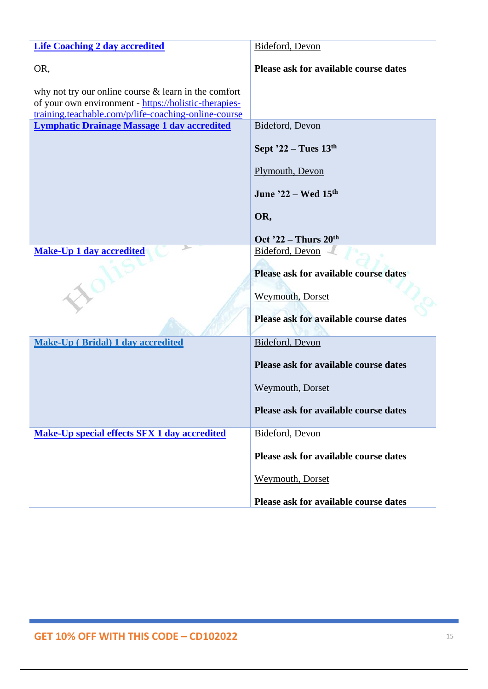| <b>Life Coaching 2 day accredited</b>                                                                                                                                   | Bideford, Devon                       |
|-------------------------------------------------------------------------------------------------------------------------------------------------------------------------|---------------------------------------|
| OR,                                                                                                                                                                     | Please ask for available course dates |
| why not try our online course $&$ learn in the comfort<br>of your own environment - https://holistic-therapies-<br>training.teachable.com/p/life-coaching-online-course |                                       |
| <b>Lymphatic Drainage Massage 1 day accredited</b>                                                                                                                      | Bideford, Devon                       |
|                                                                                                                                                                         | Sept $22 - Tues$ 13 <sup>th</sup>     |
|                                                                                                                                                                         | Plymouth, Devon                       |
|                                                                                                                                                                         | June $22 - Wed 15th$                  |
|                                                                                                                                                                         | OR,                                   |
|                                                                                                                                                                         | Oct $22$ – Thurs $20th$               |
| $-104$<br><b>Make-Up 1 day accredited</b>                                                                                                                               | Bideford, Devon                       |
|                                                                                                                                                                         | Please ask for available course dates |
|                                                                                                                                                                         |                                       |
|                                                                                                                                                                         | <b>Weymouth, Dorset</b>               |
|                                                                                                                                                                         | Please ask for available course dates |
| <b>Make-Up (Bridal) 1 day accredited</b>                                                                                                                                | Bideford, Devon                       |
|                                                                                                                                                                         | Please ask for available course dates |
|                                                                                                                                                                         | <b>Weymouth, Dorset</b>               |
|                                                                                                                                                                         | Please ask for available course dates |
| <b>Make-Up special effects SFX 1 day accredited</b>                                                                                                                     | Bideford, Devon                       |
|                                                                                                                                                                         | Please ask for available course dates |
|                                                                                                                                                                         | Weymouth, Dorset                      |
|                                                                                                                                                                         | Please ask for available course dates |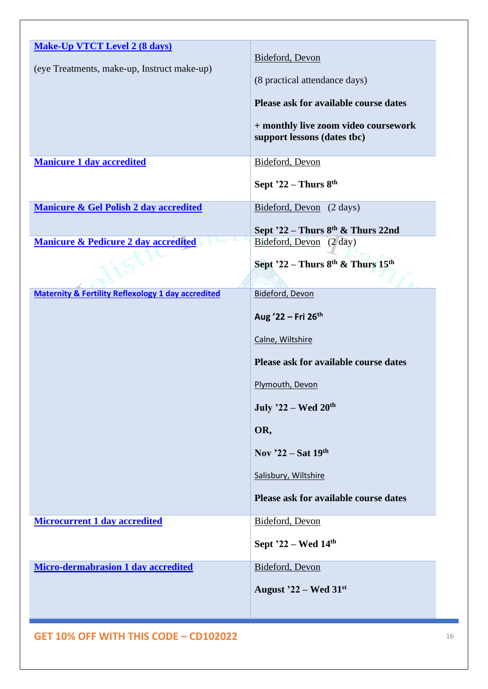| <b>Make-Up VTCT Level 2 (8 days)</b>                          |                                              |
|---------------------------------------------------------------|----------------------------------------------|
|                                                               | Bideford, Devon                              |
| (eye Treatments, make-up, Instruct make-up)                   | (8 practical attendance days)                |
|                                                               | Please ask for available course dates        |
|                                                               | + monthly live zoom video coursework         |
|                                                               | support lessons (dates tbc)                  |
| <b>Manicure 1 day accredited</b>                              | Bideford, Devon                              |
|                                                               |                                              |
|                                                               | Sept $22$ – Thurs $8th$                      |
| <b>Manicure &amp; Gel Polish 2 day accredited</b>             | Bideford, Devon (2 days)                     |
|                                                               | Sept $22$ – Thurs $8th$ & Thurs 22nd         |
| <b>Manicure &amp; Pedicure 2 day accredited</b>               | Bideford, Devon (2 day)                      |
|                                                               | Sept $22$ – Thurs $8^{th}$ & Thurs $15^{th}$ |
|                                                               |                                              |
| <b>Maternity &amp; Fertility Reflexology 1 day accredited</b> | Bideford, Devon                              |
|                                                               | Aug '22 - Fri 26th                           |
|                                                               | Calne, Wiltshire                             |
|                                                               | Please ask for available course dates        |
|                                                               | Plymouth, Devon                              |
|                                                               | July '22 - Wed 20th                          |
|                                                               | OR,                                          |
|                                                               | Nov $22$ – Sat 19th                          |
|                                                               | Salisbury, Wiltshire                         |
|                                                               | Please ask for available course dates        |
| <b>Microcurrent 1 day accredited</b>                          | Bideford, Devon                              |
|                                                               | Sept '22 – Wed 14th                          |
| <b>Micro-dermabrasion 1 day accredited</b>                    | Bideford, Devon                              |
|                                                               | August $22$ – Wed $31st$                     |
|                                                               |                                              |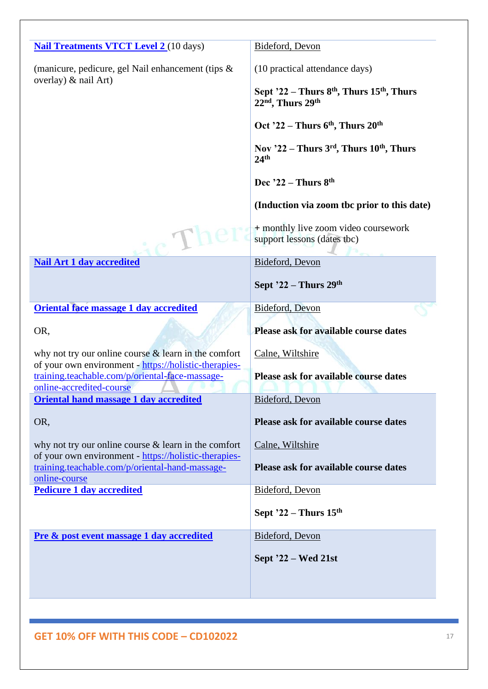| <b>Nail Treatments VTCT Level 2 (10 days)</b>                                                                             | Bideford, Devon                                                         |
|---------------------------------------------------------------------------------------------------------------------------|-------------------------------------------------------------------------|
| (manicure, pedicure, gel Nail enhancement (tips &<br>overlay) & nail Art)                                                 | (10 practical attendance days)                                          |
|                                                                                                                           | Sept $22$ – Thurs $8th$ , Thurs $15th$ , Thurs<br>$22nd$ , Thurs $29th$ |
|                                                                                                                           | Oct '22 – Thurs $6th$ , Thurs $20th$                                    |
|                                                                                                                           | Nov $22$ – Thurs $3rd$ , Thurs $10th$ , Thurs<br>24 <sup>th</sup>       |
|                                                                                                                           | Dec $22$ – Thurs $8th$                                                  |
|                                                                                                                           | (Induction via zoom the prior to this date)                             |
|                                                                                                                           | + monthly live zoom video coursework<br>support lessons (dates tbc)     |
| <b>Nail Art 1 day accredited</b>                                                                                          | Bideford, Devon                                                         |
|                                                                                                                           | Sept $22$ – Thurs $29th$                                                |
| Oriental face massage 1 day accredited                                                                                    | Bideford, Devon                                                         |
| OR,                                                                                                                       | Please ask for available course dates                                   |
| why not try our online course $\&$ learn in the comfort<br>of your own environment - https://holistic-therapies-          | Calne, Wiltshire                                                        |
| training.teachable.com/p/oriental-face-massage-<br>online-accredited-course                                               | Please ask for available course dates                                   |
| <b>Oriental hand massage 1 day accredited</b>                                                                             | Bideford, Devon                                                         |
| OR,                                                                                                                       | <b>Please ask for available course dates</b>                            |
| why not try our online course $\&$ learn in the comfort                                                                   | Calne, Wiltshire                                                        |
| of your own environment - https://holistic-therapies-<br>training.teachable.com/p/oriental-hand-massage-<br>online-course | <b>Please ask for available course dates</b>                            |
| <b>Pedicure 1 day accredited</b>                                                                                          | Bideford, Devon                                                         |
|                                                                                                                           | Sept $22$ – Thurs $15th$                                                |
| Pre & post event massage 1 day accredited                                                                                 | Bideford, Devon                                                         |
|                                                                                                                           | Sept '22 – Wed 21st                                                     |
|                                                                                                                           |                                                                         |
|                                                                                                                           |                                                                         |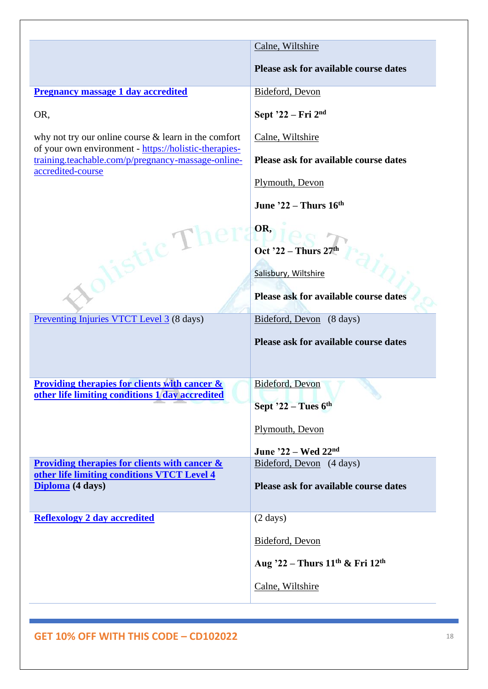|                                                                                                                 | Calne, Wiltshire                                        |
|-----------------------------------------------------------------------------------------------------------------|---------------------------------------------------------|
|                                                                                                                 | Please ask for available course dates                   |
| <b>Pregnancy massage 1 day accredited</b>                                                                       | Bideford, Devon                                         |
| OR,                                                                                                             | Sept $22$ – Fri $2nd$                                   |
| why not try our online course $&$ learn in the comfort<br>of your own environment - https://holistic-therapies- | Calne, Wiltshire                                        |
| training.teachable.com/p/pregnancy-massage-online-<br>accredited-course                                         | Please ask for available course dates                   |
|                                                                                                                 | Plymouth, Devon                                         |
|                                                                                                                 | June $22$ – Thurs $16th$                                |
| istic Thera                                                                                                     | OR,<br>Oct '22 – Thurs $27th$                           |
|                                                                                                                 | Salisbury, Wiltshire                                    |
|                                                                                                                 | Please ask for available course dates                   |
| Preventing Injuries VTCT Level 3 (8 days)                                                                       | Bideford, Devon (8 days)                                |
|                                                                                                                 | Please ask for available course dates                   |
| <b>Providing therapies for clients with cancer &amp;</b><br>other life limiting conditions 1 day accredited     | Bideford, Devon<br>Sept $22$ – Tues $6th$               |
|                                                                                                                 | Plymouth, Devon                                         |
|                                                                                                                 | June '22 - Wed 22nd                                     |
| Providing therapies for clients with cancer $\&$                                                                | Bideford, Devon (4 days)                                |
| other life limiting conditions VTCT Level 4<br>Diploma (4 days)                                                 | Please ask for available course dates                   |
| <b>Reflexology 2 day accredited</b>                                                                             | $(2 \text{ days})$                                      |
|                                                                                                                 | Bideford, Devon                                         |
|                                                                                                                 | Aug '22 - Thurs 11 <sup>th</sup> & Fri 12 <sup>th</sup> |
|                                                                                                                 | Calne, Wiltshire                                        |
|                                                                                                                 |                                                         |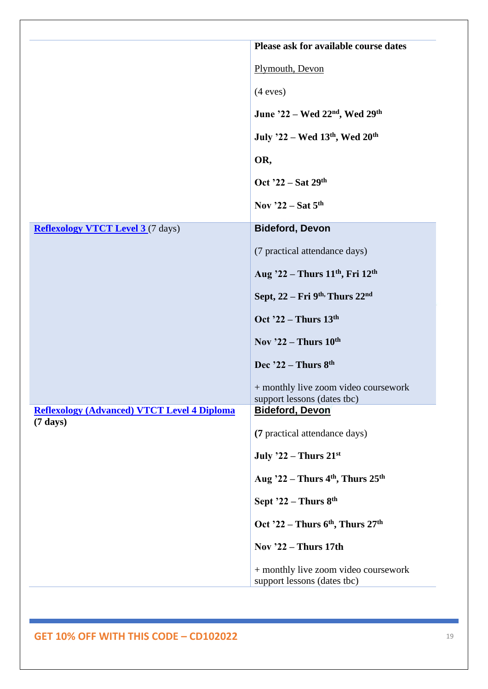|                                                                          | Please ask for available course dates                               |
|--------------------------------------------------------------------------|---------------------------------------------------------------------|
|                                                                          | Plymouth, Devon                                                     |
|                                                                          |                                                                     |
|                                                                          | (4 eves)                                                            |
|                                                                          | June '22 – Wed 22 <sup>nd</sup> , Wed 29 <sup>th</sup>              |
|                                                                          | July '22 – Wed 13th, Wed 20th                                       |
|                                                                          | OR,                                                                 |
|                                                                          | Oct $22$ – Sat $29th$                                               |
|                                                                          | Nov '22 – Sat $5th$                                                 |
| <b>Reflexology VTCT Level 3</b> (7 days)                                 | <b>Bideford, Devon</b>                                              |
|                                                                          | (7 practical attendance days)                                       |
|                                                                          | Aug '22 - Thurs 11 <sup>th</sup> , Fri 12 <sup>th</sup>             |
|                                                                          | Sept, $22 - Fri$ 9 <sup>th,</sup> Thurs $22nd$                      |
|                                                                          | Oct '22 – Thurs $13th$                                              |
|                                                                          | Nov $22$ – Thurs $10^{th}$                                          |
|                                                                          | Dec $22$ – Thurs $8th$                                              |
|                                                                          | + monthly live zoom video coursework<br>support lessons (dates tbc) |
| <b>Reflexology (Advanced) VTCT Level 4 Diploma</b><br>$(7 \text{ days})$ | <b>Bideford, Devon</b>                                              |
|                                                                          | (7 practical attendance days)                                       |
|                                                                          | July $22$ – Thurs $21^{st}$                                         |
|                                                                          | Aug $22$ – Thurs 4 <sup>th</sup> , Thurs 25 <sup>th</sup>           |
|                                                                          | Sept $22$ – Thurs $8th$                                             |
|                                                                          | Oct '22 - Thurs 6 <sup>th</sup> , Thurs 27 <sup>th</sup>            |
|                                                                          | Nov '22 – Thurs 17th                                                |
|                                                                          | + monthly live zoom video coursework<br>support lessons (dates tbc) |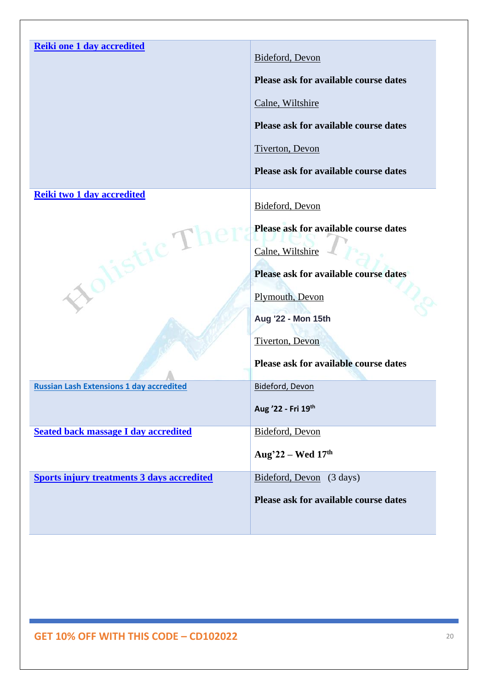| <b>Reiki one 1 day accredited</b>                 | Bideford, Devon                       |
|---------------------------------------------------|---------------------------------------|
|                                                   | Please ask for available course dates |
|                                                   | Calne, Wiltshire                      |
|                                                   | Please ask for available course dates |
|                                                   | <b>Tiverton</b> , Devon               |
|                                                   | Please ask for available course dates |
| Reiki two 1 day accredited                        | Bideford, Devon                       |
|                                                   | Please ask for available course dates |
| istic Th                                          | Calne, Wiltshire                      |
| rol                                               | Please ask for available course dates |
|                                                   | Plymouth, Devon                       |
|                                                   | Aug '22 - Mon 15th                    |
|                                                   | Tiverton, Devon                       |
|                                                   | Please ask for available course dates |
| <b>Russian Lash Extensions 1 day accredited</b>   | Bideford, Devon                       |
|                                                   | Aug '22 - Fri 19th                    |
| <b>Seated back massage I day accredited</b>       | Bideford, Devon                       |
|                                                   | Aug'22 – Wed $17th$                   |
| <b>Sports injury treatments 3 days accredited</b> | Bideford, Devon (3 days)              |
|                                                   |                                       |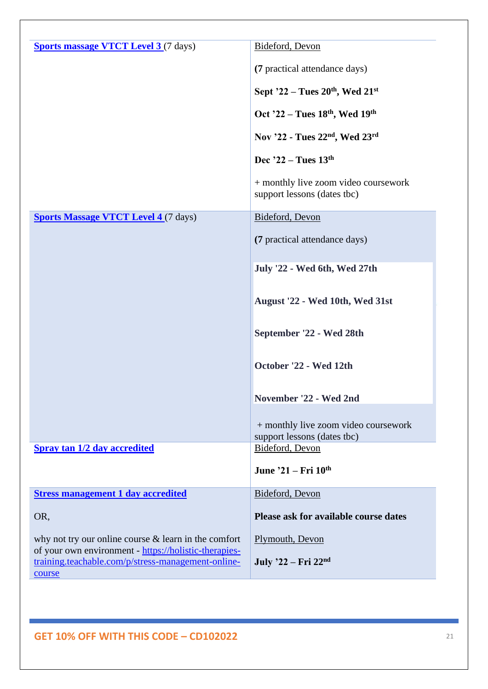| <b>Sports massage VTCT Level 3</b> (7 days)                                                                     | Bideford, Devon                                                     |
|-----------------------------------------------------------------------------------------------------------------|---------------------------------------------------------------------|
|                                                                                                                 | (7 practical attendance days)                                       |
|                                                                                                                 | Sept '22 – Tues $20^{th}$ , Wed $21^{st}$                           |
|                                                                                                                 | Oct '22 - Tues 18th, Wed 19th                                       |
|                                                                                                                 | Nov '22 - Tues 22 <sup>nd</sup> , Wed 23 <sup>rd</sup>              |
|                                                                                                                 | Dec $22 - T$ ues $13th$                                             |
|                                                                                                                 | + monthly live zoom video coursework<br>support lessons (dates tbc) |
| <b>Sports Massage VTCT Level 4 (7 days)</b>                                                                     | Bideford, Devon                                                     |
|                                                                                                                 | (7 practical attendance days)                                       |
|                                                                                                                 | July '22 - Wed 6th, Wed 27th                                        |
|                                                                                                                 | August '22 - Wed 10th, Wed 31st                                     |
|                                                                                                                 | September '22 - Wed 28th                                            |
|                                                                                                                 | October '22 - Wed 12th                                              |
|                                                                                                                 | November '22 - Wed 2nd                                              |
|                                                                                                                 | + monthly live zoom video coursework<br>support lessons (dates tbc) |
| <b>Spray tan 1/2 day accredited</b>                                                                             | Bideford, Devon                                                     |
|                                                                                                                 | June '21 – Fri 10th                                                 |
| <b>Stress management 1 day accredited</b>                                                                       | Bideford, Devon                                                     |
| OR,                                                                                                             | Please ask for available course dates                               |
| why not try our online course $&$ learn in the comfort<br>of your own environment - https://holistic-therapies- | Plymouth, Devon                                                     |
| training.teachable.com/p/stress-management-online-<br>course                                                    | July '22 – Fri 22 <sup>nd</sup>                                     |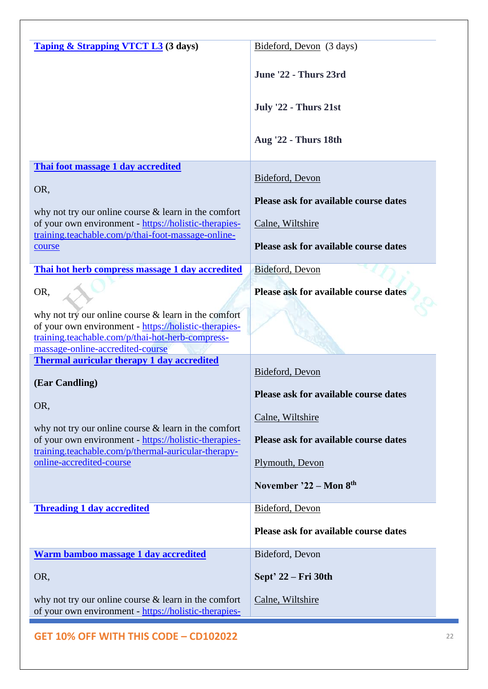| <b>Taping &amp; Strapping VTCT L3</b> (3 days)                                                                                                                                                          | Bideford, Devon (3 days)                     |
|---------------------------------------------------------------------------------------------------------------------------------------------------------------------------------------------------------|----------------------------------------------|
|                                                                                                                                                                                                         | June '22 - Thurs 23rd                        |
|                                                                                                                                                                                                         | <b>July '22 - Thurs 21st</b>                 |
|                                                                                                                                                                                                         | <b>Aug '22 - Thurs 18th</b>                  |
| Thai foot massage 1 day accredited                                                                                                                                                                      |                                              |
|                                                                                                                                                                                                         | Bideford, Devon                              |
| OR,                                                                                                                                                                                                     | Please ask for available course dates        |
| why not try our online course $&$ learn in the comfort                                                                                                                                                  |                                              |
| of your own environment - https://holistic-therapies-<br>training.teachable.com/p/thai-foot-massage-online-                                                                                             | Calne, Wiltshire                             |
| course                                                                                                                                                                                                  | Please ask for available course dates        |
| Thai hot herb compress massage 1 day accredited                                                                                                                                                         | Bideford, Devon                              |
| OR,                                                                                                                                                                                                     | Please ask for available course dates        |
| why not try our online course $&$ learn in the comfort<br>of your own environment - https://holistic-therapies-<br>training.teachable.com/p/thai-hot-herb-compress-<br>massage-online-accredited-course |                                              |
| <b>Thermal auricular therapy 1 day accredited</b>                                                                                                                                                       |                                              |
| (Ear Candling)                                                                                                                                                                                          | Bideford, Devon                              |
|                                                                                                                                                                                                         | Please ask for available course dates        |
| OR,                                                                                                                                                                                                     | Calne, Wiltshire                             |
| why not try our online course $&$ learn in the comfort                                                                                                                                                  |                                              |
| of your own environment - https://holistic-therapies-<br>training.teachable.com/p/thermal-auricular-therapy-                                                                                            | Please ask for available course dates        |
| online-accredited-course                                                                                                                                                                                | Plymouth, Devon                              |
|                                                                                                                                                                                                         | November '22 - Mon 8th                       |
| <b>Threading 1 day accredited</b>                                                                                                                                                                       | Bideford, Devon                              |
|                                                                                                                                                                                                         | <b>Please ask for available course dates</b> |
| Warm bamboo massage 1 day accredited                                                                                                                                                                    | Bideford, Devon                              |
| OR,                                                                                                                                                                                                     | Sept' 22 – Fri 30th                          |
| why not try our online course $&$ learn in the comfort<br>of your own environment - https://holistic-therapies-                                                                                         | Calne, Wiltshire                             |